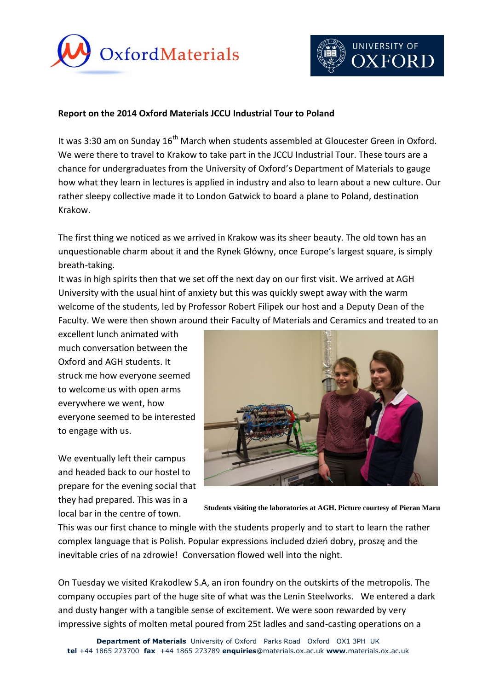



## **Report on the 2014 Oxford Materials JCCU Industrial Tour to Poland**

It was 3:30 am on Sunday 16<sup>th</sup> March when students assembled at Gloucester Green in Oxford. We were there to travel to Krakow to take part in the JCCU Industrial Tour. These tours are a chance for undergraduates from the University of Oxford's Department of Materials to gauge how what they learn in lectures is applied in industry and also to learn about a new culture. Our rather sleepy collective made it to London Gatwick to board a plane to Poland, destination Krakow.

The first thing we noticed as we arrived in Krakow was its sheer beauty. The old town has an unquestionable charm about it and the Rynek Główny, once Europe's largest square, is simply breath-taking.

It was in high spirits then that we set off the next day on our first visit. We arrived at AGH University with the usual hint of anxiety but this was quickly swept away with the warm welcome of the students, led by Professor Robert Filipek our host and a Deputy Dean of the Faculty. We were then shown around their Faculty of Materials and Ceramics and treated to an

excellent lunch animated with much conversation between the Oxford and AGH students. It struck me how everyone seemed to welcome us with open arms everywhere we went, how everyone seemed to be interested to engage with us.

We eventually left their campus and headed back to our hostel to prepare for the evening social that they had prepared. This was in a local bar in the centre of town.



**Students visiting the laboratories at AGH. Picture courtesy of Pieran Maru**

This was our first chance to mingle with the students properly and to start to learn the rather complex language that is Polish. Popular expressions included dzień dobry, proszę and the inevitable cries of na zdrowie! Conversation flowed well into the night.

On Tuesday we visited Krakodlew S.A, an iron foundry on the outskirts of the metropolis. The company occupies part of the huge site of what was the Lenin Steelworks. We entered a dark and dusty hanger with a tangible sense of excitement. We were soon rewarded by very impressive sights of molten metal poured from 25t ladles and sand-casting operations on a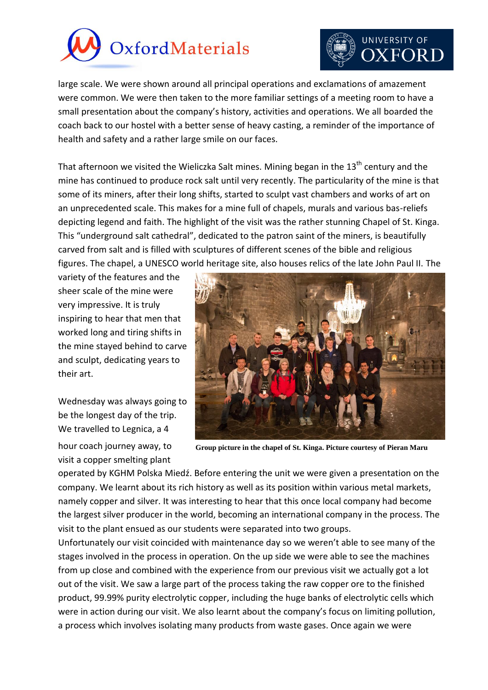

## UNIVERSITY OF **)XFORD**

large scale. We were shown around all principal operations and exclamations of amazement were common. We were then taken to the more familiar settings of a meeting room to have a small presentation about the company's history, activities and operations. We all boarded the coach back to our hostel with a better sense of heavy casting, a reminder of the importance of health and safety and a rather large smile on our faces.

That afternoon we visited the Wieliczka Salt mines. Mining began in the 13<sup>th</sup> century and the mine has continued to produce rock salt until very recently. The particularity of the mine is that some of its miners, after their long shifts, started to sculpt vast chambers and works of art on an unprecedented scale. This makes for a mine full of chapels, murals and various bas-reliefs depicting legend and faith. The highlight of the visit was the rather stunning Chapel of St. Kinga. This "underground salt cathedral", dedicated to the patron saint of the miners, is beautifully carved from salt and is filled with sculptures of different scenes of the bible and religious figures. The chapel, a UNESCO world heritage site, also houses relics of the late John Paul II. The

variety of the features and the sheer scale of the mine were very impressive. It is truly inspiring to hear that men that worked long and tiring shifts in the mine stayed behind to carve and sculpt, dedicating years to their art.

Wednesday was always going to be the longest day of the trip. We travelled to Legnica, a 4

hour coach journey away, to visit a copper smelting plant



**Group picture in the chapel of St. Kinga. Picture courtesy of Pieran Maru**

operated by KGHM Polska Miedź. Before entering the unit we were given a presentation on the company. We learnt about its rich history as well as its position within various metal markets, namely copper and silver. It was interesting to hear that this once local company had become the largest silver producer in the world, becoming an international company in the process. The visit to the plant ensued as our students were separated into two groups.

Unfortunately our visit coincided with maintenance day so we weren't able to see many of the stages involved in the process in operation. On the up side we were able to see the machines from up close and combined with the experience from our previous visit we actually got a lot out of the visit. We saw a large part of the process taking the raw copper ore to the finished product, 99.99% purity electrolytic copper, including the huge banks of electrolytic cells which were in action during our visit. We also learnt about the company's focus on limiting pollution, a process which involves isolating many products from waste gases. Once again we were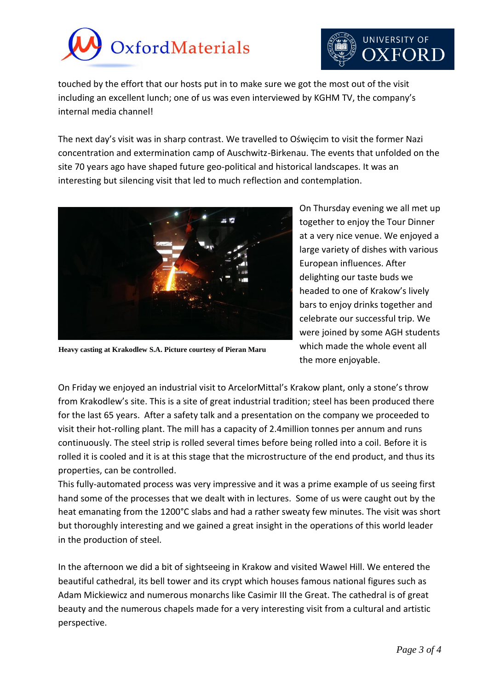



touched by the effort that our hosts put in to make sure we got the most out of the visit including an excellent lunch; one of us was even interviewed by KGHM TV, the company's internal media channel!

The next day's visit was in sharp contrast. We travelled to Oświęcim to visit the former Nazi concentration and extermination camp of Auschwitz-Birkenau. The events that unfolded on the site 70 years ago have shaped future geo-political and historical landscapes. It was an interesting but silencing visit that led to much reflection and contemplation.



On Thursday evening we all met up together to enjoy the Tour Dinner at a very nice venue. We enjoyed a large variety of dishes with various European influences. After delighting our taste buds we headed to one of Krakow's lively bars to enjoy drinks together and celebrate our successful trip. We were joined by some AGH students which made the whole event all the more enjoyable.

**Heavy casting at Krakodlew S.A. Picture courtesy of Pieran Maru**

On Friday we enjoyed an industrial visit to ArcelorMittal's Krakow plant, only a stone's throw from Krakodlew's site. This is a site of great industrial tradition; steel has been produced there for the last 65 years. After a safety talk and a presentation on the company we proceeded to visit their hot-rolling plant. The mill has a capacity of 2.4million tonnes per annum and runs continuously. The steel strip is rolled several times before being rolled into a coil. Before it is rolled it is cooled and it is at this stage that the microstructure of the end product, and thus its properties, can be controlled.

This fully-automated process was very impressive and it was a prime example of us seeing first hand some of the processes that we dealt with in lectures. Some of us were caught out by the heat emanating from the 1200°C slabs and had a rather sweaty few minutes. The visit was short but thoroughly interesting and we gained a great insight in the operations of this world leader in the production of steel.

In the afternoon we did a bit of sightseeing in Krakow and visited Wawel Hill. We entered the beautiful cathedral, its bell tower and its crypt which houses famous national figures such as Adam Mickiewicz and numerous monarchs like Casimir III the Great. The cathedral is of great beauty and the numerous chapels made for a very interesting visit from a cultural and artistic perspective.